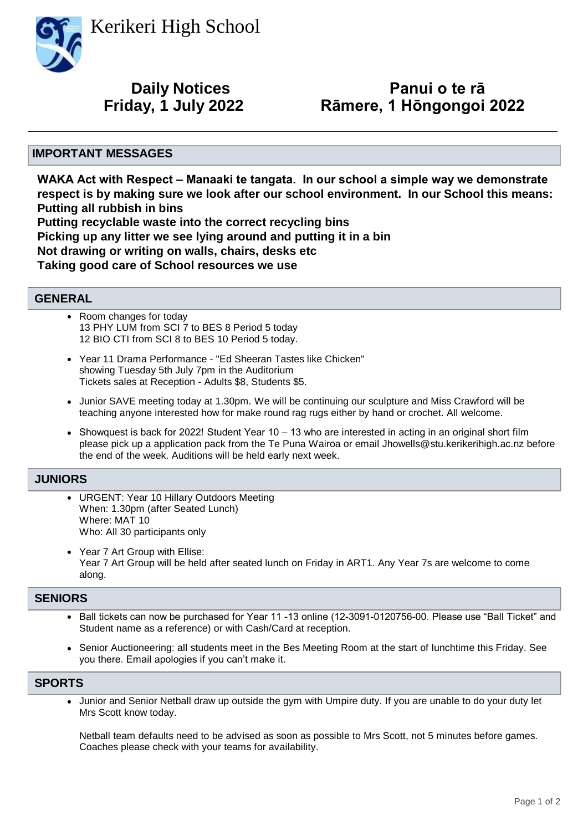Kerikeri High School



# **Daily Notices**

## **Panui o te rā Friday, 1 July 2022 Rāmere, 1 Hōngongoi 2022**

#### **IMPORTANT MESSAGES**

**WAKA Act with Respect – Manaaki te tangata. In our school a simple way we demonstrate respect is by making sure we look after our school environment. In our School this means: Putting all rubbish in bins Putting recyclable waste into the correct recycling bins Picking up any litter we see lying around and putting it in a bin Not drawing or writing on walls, chairs, desks etc Taking good care of School resources we use**

#### **GENERAL**

- Room changes for today 13 PHY LUM from SCI 7 to BES 8 Period 5 today 12 BIO CTI from SCI 8 to BES 10 Period 5 today. •
- Year 11 Drama Performance "Ed Sheeran Tastes like Chicken" showing Tuesday 5th July 7pm in the Auditorium Tickets sales at Reception - Adults \$8, Students \$5.
- Junior SAVE meeting today at 1.30pm. We will be continuing our sculpture and Miss Crawford will be teaching anyone interested how for make round rag rugs either by hand or crochet. All welcome.
- Showquest is back for 2022! Student Year 10 13 who are interested in acting in an original short film please pick up a application pack from the Te Puna Wairoa or email Jhowells@stu.kerikerihigh.ac.nz before the end of the week. Auditions will be held early next week.

#### **JUNIORS**

- URGENT: Year 10 Hillary Outdoors Meeting When: 1.30pm (after Seated Lunch) Where: MAT 10 Who: All 30 participants only •
- Year 7 Art Group with Ellise: Year 7 Art Group will be held after seated lunch on Friday in ART1. Any Year 7s are welcome to come along. •

#### **SENIORS**

- Ball tickets can now be purchased for Year 11 -13 online (12-3091-0120756-00. Please use "Ball Ticket" and Student name as a reference) or with Cash/Card at reception.
- Senior Auctioneering: all students meet in the Bes Meeting Room at the start of lunchtime this Friday. See you there. Email apologies if you can't make it.

#### **SPORTS**

• Junior and Senior Netball draw up outside the gym with Umpire duty. If you are unable to do your duty let Mrs Scott know today.

Netball team defaults need to be advised as soon as possible to Mrs Scott, not 5 minutes before games. Coaches please check with your teams for availability.